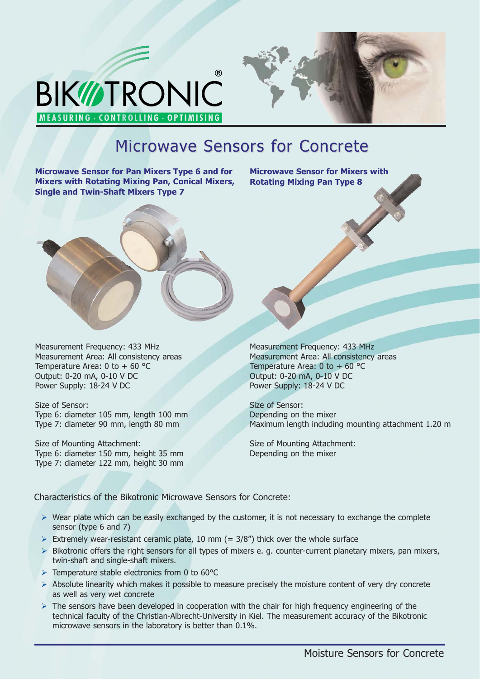



# Microwave Sensors for Concrete

**Microwave Sensor for Pan Mixers Type 6 and for Mixers with Rotating Mixing Pan, Conical Mixers, Single and Twin-Shaft Mixers Type 7**

**Microwave Sensor for Mixers with Rotating Mixing Pan Type 8**



Size of Sensor: Type 6: diameter 105 mm, length 100 mm Type 7: diameter 90 mm, length 80 mm

Size of Mounting Attachment: Type 6: diameter 150 mm, height 35 mm Type 7: diameter 122 mm, height 30 mm Measurement Frequency: 433 MHz Measurement Area: All consistency areas Temperature Area: 0 to  $+60$  °C Output: 0-20 mA, 0-10 V DC Power Supply: 18-24 V DC

Size of Sensor: Depending on the mixer Maximum length including mounting attachment 1.20 m

Size of Mounting Attachment: Depending on the mixer

Characteristics of the Bikotronic Microwave Sensors for Concrete:

- > Wear plate which can be easily exchanged by the customer, it is not necessary to exchange the complete sensor (type 6 and 7)
- $\triangleright$  Extremely wear-resistant ceramic plate, 10 mm (= 3/8") thick over the whole surface
- > Bikotronic offers the right sensors for all types of mixers e. g. counter-current planetary mixers, pan mixers, twin-shaft and single-shaft mixers.
- > Temperature stable electronics from 0 to 60°C
- > Absolute linearity which makes it possible to measure precisely the moisture content of very dry concrete as well as very wet concrete
- > The sensors have been developed in cooperation with the chair for high frequency engineering of the technical faculty of the Christian-Albrecht-University in Kiel. The measurement accuracy of the Bikotronic microwave sensors in the laboratory is better than 0.1%.